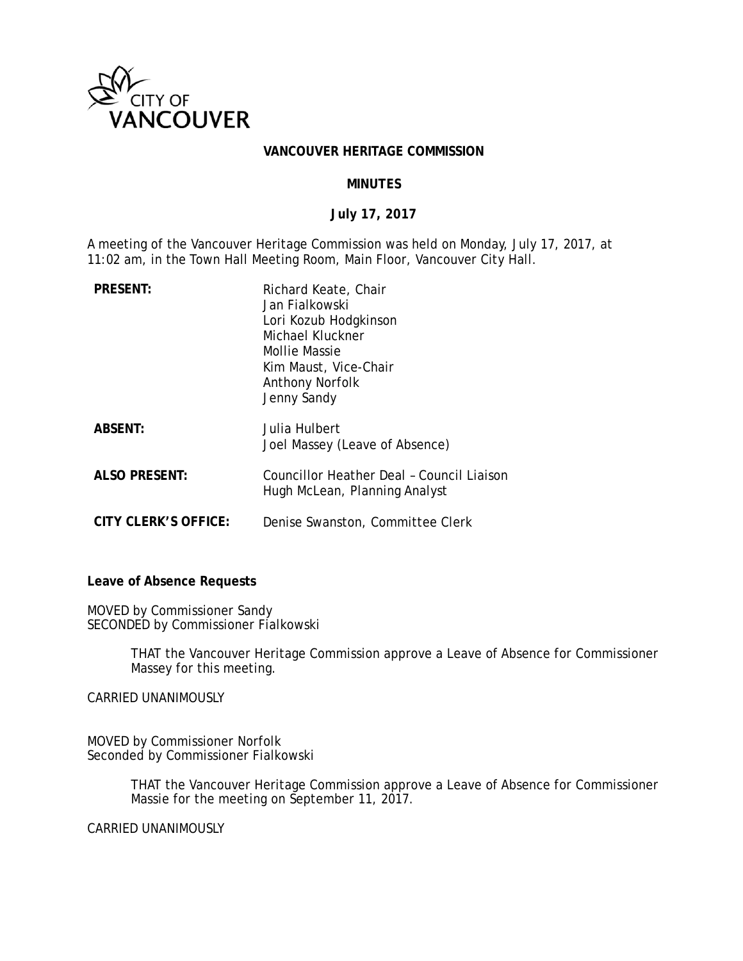

#### **VANCOUVER HERITAGE COMMISSION**

### **MINUTES**

## **July 17, 2017**

A meeting of the Vancouver Heritage Commission was held on Monday, July 17, 2017, at 11:02 am, in the Town Hall Meeting Room, Main Floor, Vancouver City Hall.

| <b>PRESENT:</b>      | Richard Keate, Chair<br>Jan Fialkowski<br>Lori Kozub Hodgkinson<br>Michael Kluckner<br>Mollie Massie<br>Kim Maust, Vice-Chair<br><b>Anthony Norfolk</b><br>Jenny Sandy |
|----------------------|------------------------------------------------------------------------------------------------------------------------------------------------------------------------|
| <b>ABSENT:</b>       | Julia Hulbert<br>Joel Massey (Leave of Absence)                                                                                                                        |
| ALSO PRESENT:        | Councillor Heather Deal - Council Liaison<br>Hugh McLean, Planning Analyst                                                                                             |
| CITY CLERK'S OFFICE: | Denise Swanston, Committee Clerk                                                                                                                                       |

**Leave of Absence Requests** 

MOVED by Commissioner Sandy SECONDED by Commissioner Fialkowski

> THAT the Vancouver Heritage Commission approve a Leave of Absence for Commissioner Massey for this meeting.

CARRIED UNANIMOUSLY

MOVED by Commissioner Norfolk Seconded by Commissioner Fialkowski

> THAT the Vancouver Heritage Commission approve a Leave of Absence for Commissioner Massie for the meeting on September 11, 2017.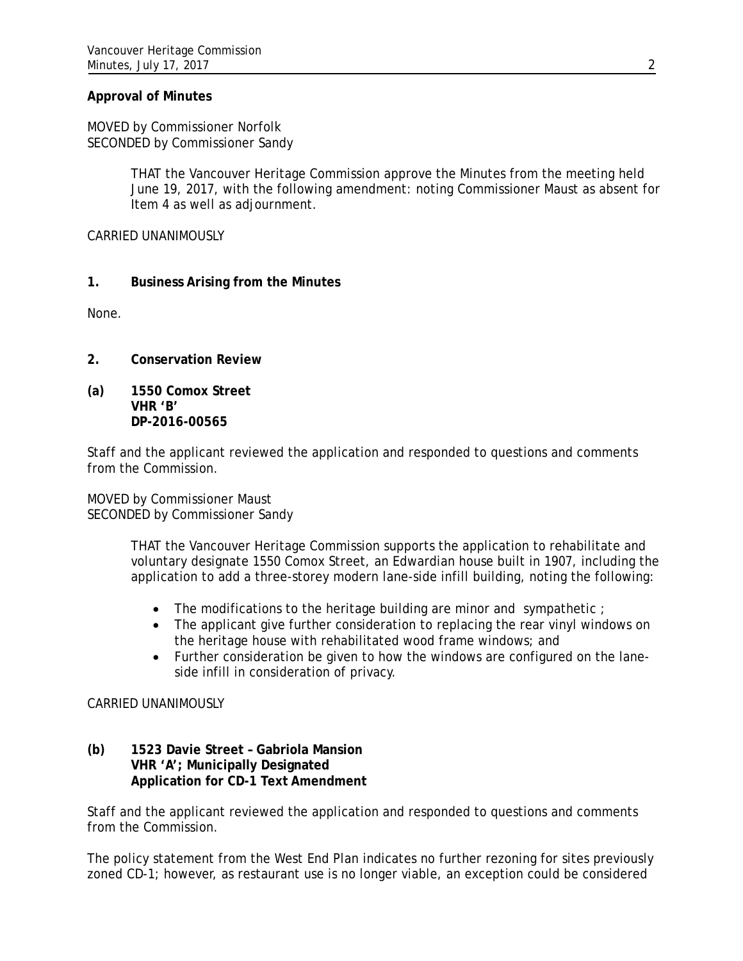# **Approval of Minutes**

MOVED by Commissioner Norfolk SECONDED by Commissioner Sandy

> THAT the Vancouver Heritage Commission approve the Minutes from the meeting held June 19, 2017, with the following amendment: noting Commissioner Maust as absent for Item 4 as well as adjournment.

CARRIED UNANIMOUSLY

## **1. Business Arising from the Minutes**

None.

- **2. Conservation Review**
- **(a) 1550 Comox Street VHR 'B' DP-2016-00565**

Staff and the applicant reviewed the application and responded to questions and comments from the Commission.

MOVED by Commissioner Maust SECONDED by Commissioner Sandy

> THAT the Vancouver Heritage Commission supports the application to rehabilitate and voluntary designate 1550 Comox Street, an Edwardian house built in 1907, including the application to add a three-storey modern lane-side infill building, noting the following:

- $\bullet$  The modifications to the heritage building are minor and sympathetic ;
- The applicant give further consideration to replacing the rear vinyl windows on the heritage house with rehabilitated wood frame windows; and
- Further consideration be given to how the windows are configured on the laneside infill in consideration of privacy.

### CARRIED UNANIMOUSLY

### **(b) 1523 Davie Street – Gabriola Mansion VHR 'A'; Municipally Designated Application for CD-1 Text Amendment**

Staff and the applicant reviewed the application and responded to questions and comments from the Commission.

The policy statement from the West End Plan indicates no further rezoning for sites previously zoned CD-1; however, as restaurant use is no longer viable, an exception could be considered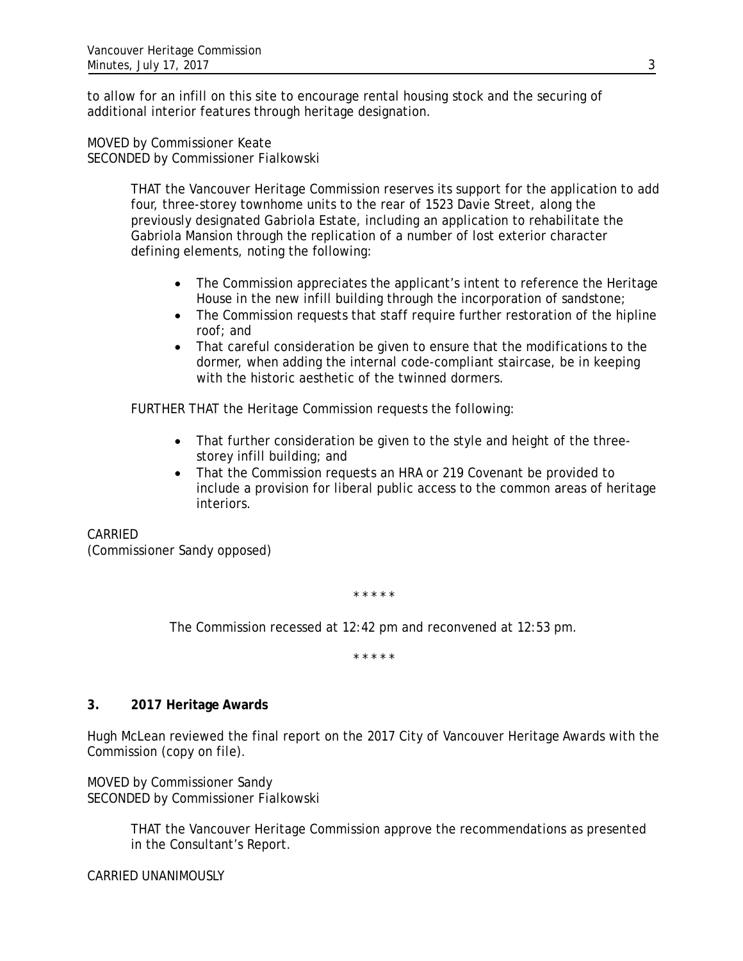to allow for an infill on this site to encourage rental housing stock and the securing of additional interior features through heritage designation.

MOVED by Commissioner Keate SECONDED by Commissioner Fialkowski

> THAT the Vancouver Heritage Commission reserves its support for the application to add four, three-storey townhome units to the rear of 1523 Davie Street, along the previously designated Gabriola Estate, including an application to rehabilitate the Gabriola Mansion through the replication of a number of lost exterior character defining elements, noting the following:

- The Commission appreciates the applicant's intent to reference the Heritage House in the new infill building through the incorporation of sandstone;
- The Commission requests that staff require further restoration of the hipline roof; and
- That careful consideration be given to ensure that the modifications to the dormer, when adding the internal code-compliant staircase, be in keeping with the historic aesthetic of the twinned dormers.

FURTHER THAT the Heritage Commission requests the following:

- That further consideration be given to the style and height of the threestorey infill building; and
- That the Commission requests an HRA or 219 Covenant be provided to include a provision for liberal public access to the common areas of heritage interiors.

CARRIED (Commissioner Sandy opposed)

\* \* \* \* \*

The Commission recessed at 12:42 pm and reconvened at 12:53 pm.

\* \* \* \* \*

### **3. 2017 Heritage Awards**

Hugh McLean reviewed the final report on the 2017 City of Vancouver Heritage Awards with the Commission (copy on file).

MOVED by Commissioner Sandy SECONDED by Commissioner Fialkowski

> THAT the Vancouver Heritage Commission approve the recommendations as presented in the Consultant's Report.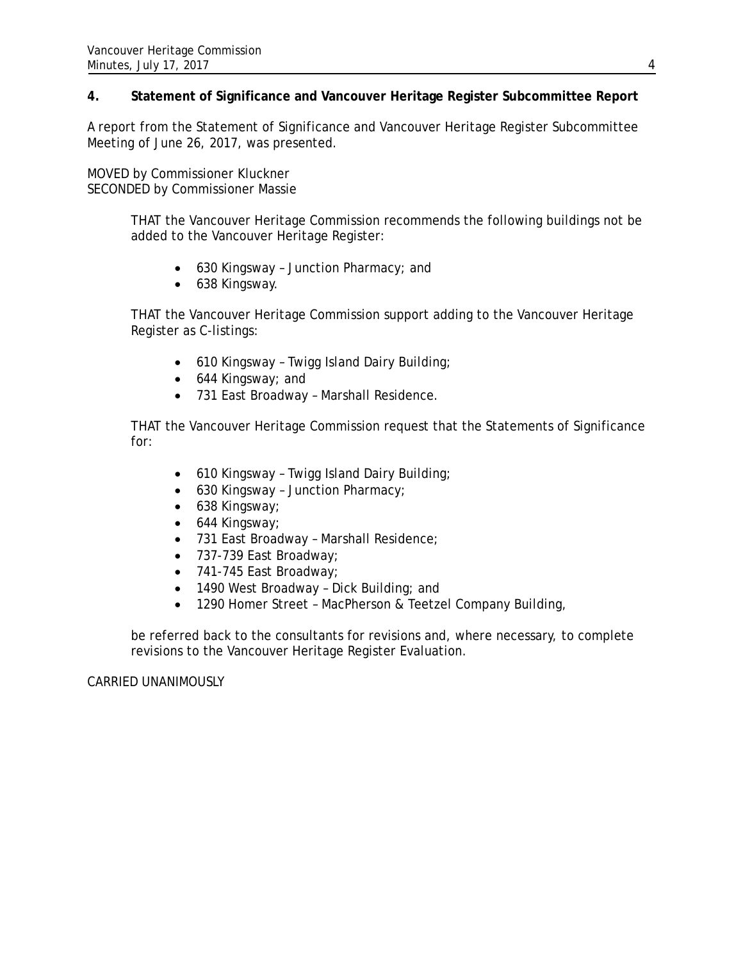# **4. Statement of Significance and Vancouver Heritage Register Subcommittee Report**

A report from the Statement of Significance and Vancouver Heritage Register Subcommittee Meeting of June 26, 2017, was presented.

MOVED by Commissioner Kluckner SECONDED by Commissioner Massie

> THAT the Vancouver Heritage Commission recommends the following buildings not be added to the Vancouver Heritage Register:

- 630 Kingsway Junction Pharmacy; and
- 638 Kingsway.

THAT the Vancouver Heritage Commission support adding to the Vancouver Heritage Register as C-listings:

- 610 Kingsway Twigg Island Dairy Building;
- 644 Kingsway; and
- 731 East Broadway Marshall Residence.

THAT the Vancouver Heritage Commission request that the Statements of Significance for:

- 610 Kingsway Twigg Island Dairy Building;
- 630 Kingsway Junction Pharmacy;
- 638 Kingsway;
- 644 Kingsway;
- 731 East Broadway Marshall Residence;
- 737-739 East Broadway;
- 741-745 East Broadway;
- 1490 West Broadway Dick Building; and
- 1290 Homer Street MacPherson & Teetzel Company Building,

be referred back to the consultants for revisions and, where necessary, to complete revisions to the Vancouver Heritage Register Evaluation.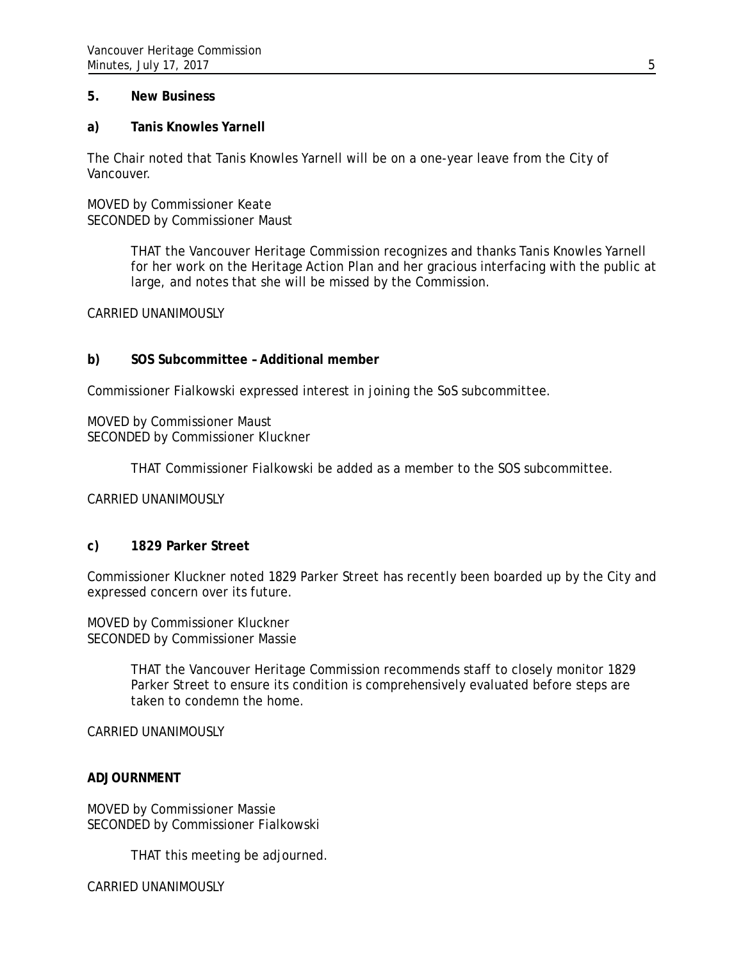### **5. New Business**

### **a) Tanis Knowles Yarnell**

The Chair noted that Tanis Knowles Yarnell will be on a one-year leave from the City of Vancouver.

MOVED by Commissioner Keate SECONDED by Commissioner Maust

> THAT the Vancouver Heritage Commission recognizes and thanks Tanis Knowles Yarnell for her work on the Heritage Action Plan and her gracious interfacing with the public at large, and notes that she will be missed by the Commission.

CARRIED UNANIMOUSLY

#### **b) SOS Subcommittee – Additional member**

Commissioner Fialkowski expressed interest in joining the SoS subcommittee.

MOVED by Commissioner Maust SECONDED by Commissioner Kluckner

THAT Commissioner Fialkowski be added as a member to the SOS subcommittee.

CARRIED UNANIMOUSLY

### **c) 1829 Parker Street**

Commissioner Kluckner noted 1829 Parker Street has recently been boarded up by the City and expressed concern over its future.

MOVED by Commissioner Kluckner SECONDED by Commissioner Massie

> THAT the Vancouver Heritage Commission recommends staff to closely monitor 1829 Parker Street to ensure its condition is comprehensively evaluated before steps are taken to condemn the home.

CARRIED UNANIMOUSLY

### **ADJOURNMENT**

MOVED by Commissioner Massie SECONDED by Commissioner Fialkowski

THAT this meeting be adjourned.